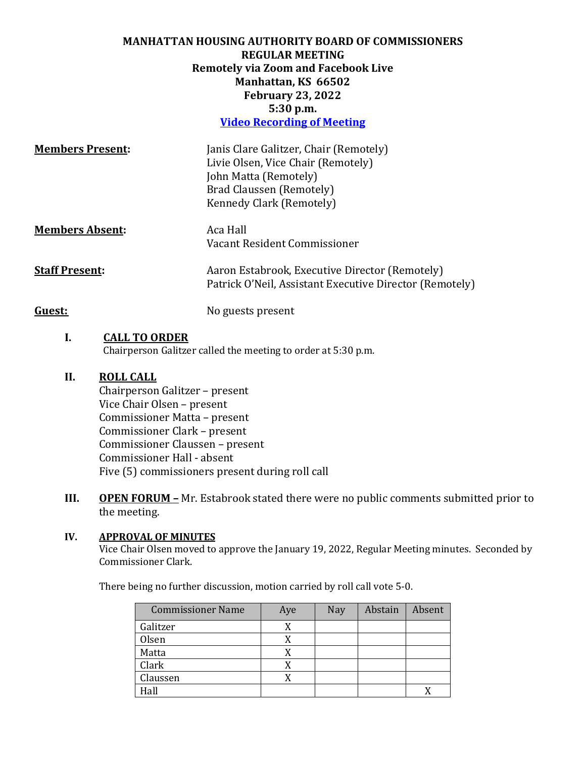## **MANHATTAN HOUSING AUTHORITY BOARD OF COMMISSIONERS REGULAR MEETING Remotely via Zoom and Facebook Live Manhattan, KS 66502 February 23, 2022 5:30 p.m. [Video Recording of Meeting](https://us02web.zoom.us/rec/share/-0uJP8HAkKJLhdYobWObU-Zu6FimScdnRtZt1E5YAhSw-jnn8JSWqfYIvjJCsiZF.uJMK3qFw2FeJTALI)**

| <b>Members Present:</b> | Janis Clare Galitzer, Chair (Remotely)<br>Livie Olsen, Vice Chair (Remotely)<br>John Matta (Remotely)<br>Brad Claussen (Remotely)<br>Kennedy Clark (Remotely) |
|-------------------------|---------------------------------------------------------------------------------------------------------------------------------------------------------------|
| <b>Members Absent:</b>  | Aca Hall<br>Vacant Resident Commissioner                                                                                                                      |
| <b>Staff Present:</b>   | Aaron Estabrook, Executive Director (Remotely)<br>Patrick O'Neil, Assistant Executive Director (Remotely)                                                     |
| Guest:                  | No guests present                                                                                                                                             |

## **I. CALL TO ORDER**

Chairperson Galitzer called the meeting to order at 5:30 p.m.

# **II. ROLL CALL**

Chairperson Galitzer – present Vice Chair Olsen – present Commissioner Matta – present Commissioner Clark – present Commissioner Claussen – present Commissioner Hall - absent Five (5) commissioners present during roll call

**III.** OPEN FORUM – Mr. Estabrook stated there were no public comments submitted prior to the meeting.

### **IV. APPROVAL OF MINUTES**

Vice Chair Olsen moved to approve the January 19, 2022, Regular Meeting minutes. Seconded by Commissioner Clark.

There being no further discussion, motion carried by roll call vote 5-0.

| <b>Commissioner Name</b> | Aye | Nay | Abstain | Absent |
|--------------------------|-----|-----|---------|--------|
| Galitzer                 |     |     |         |        |
| <b>Olsen</b>             |     |     |         |        |
| Matta                    |     |     |         |        |
| Clark                    |     |     |         |        |
| Claussen                 |     |     |         |        |
| Hall                     |     |     |         |        |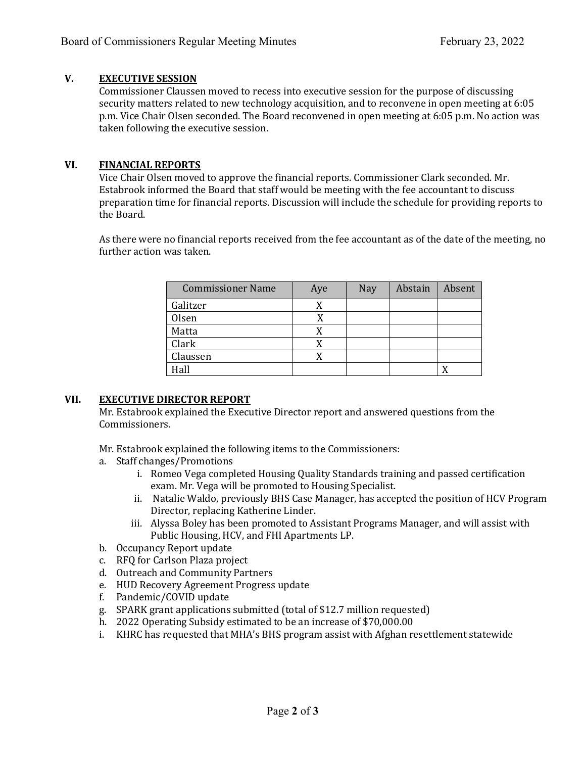### **V. EXECUTIVE SESSION**

Commissioner Claussen moved to recess into executive session for the purpose of discussing security matters related to new technology acquisition, and to reconvene in open meeting at 6:05 p.m. Vice Chair Olsen seconded. The Board reconvened in open meeting at 6:05 p.m. No action was taken following the executive session.

#### **VI. FINANCIAL REPORTS**

Vice Chair Olsen moved to approve the financial reports. Commissioner Clark seconded. Mr. Estabrook informed the Board that staff would be meeting with the fee accountant to discuss preparation time for financial reports. Discussion will include the schedule for providing reports to the Board.

As there were no financial reports received from the fee accountant as of the date of the meeting, no further action was taken.

| <b>Commissioner Name</b> | Aye | Nay | Abstain | Absent |
|--------------------------|-----|-----|---------|--------|
| Galitzer                 |     |     |         |        |
| Olsen                    |     |     |         |        |
| Matta                    |     |     |         |        |
| Clark                    |     |     |         |        |
| Claussen                 |     |     |         |        |
| Hall                     |     |     |         |        |

### **VII. EXECUTIVE DIRECTOR REPORT**

Mr. Estabrook explained the Executive Director report and answered questions from the Commissioners.

Mr. Estabrook explained the following items to the Commissioners:

- a. Staff changes/Promotions
	- i. Romeo Vega completed Housing Quality Standards training and passed certification exam. Mr. Vega will be promoted to Housing Specialist.
	- ii. Natalie Waldo, previously BHS Case Manager, has accepted the position of HCV Program Director, replacing Katherine Linder.
	- iii. Alyssa Boley has been promoted to Assistant Programs Manager, and will assist with Public Housing, HCV, and FHI Apartments LP.
- b. Occupancy Report update
- c. RFQ for Carlson Plaza project
- d. Outreach and Community Partners
- e. HUD Recovery Agreement Progress update
- f. Pandemic/COVID update
- g. SPARK grant applications submitted (total of \$12.7 million requested)
- h. 2022 Operating Subsidy estimated to be an increase of \$70,000.00
- i. KHRC has requested that MHA's BHS program assist with Afghan resettlement statewide